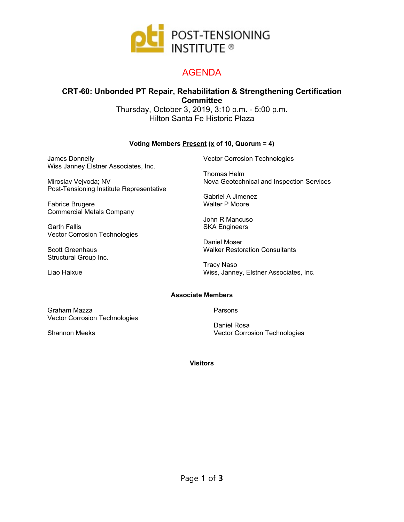

## AGENDA

### **CRT-60: Unbonded PT Repair, Rehabilitation & Strengthening Certification Committee**

Thursday, October 3, 2019, 3:10 p.m. - 5:00 p.m. Hilton Santa Fe Historic Plaza

#### **Voting Members Present (x of 10, Quorum = 4)**

James Donnelly Wiss Janney Elstner Associates, Inc.

Miroslav Vejvoda; NV Post-Tensioning Institute Representative

Fabrice Brugere Commercial Metals Company

Garth Fallis Vector Corrosion Technologies

Scott Greenhaus Structural Group Inc.

Liao Haixue

Vector Corrosion Technologies

Thomas Helm Nova Geotechnical and Inspection Services

Gabriel A Jimenez Walter P Moore

John R Mancuso SKA Engineers

Daniel Moser Walker Restoration Consultants

Tracy Naso Wiss, Janney, Elstner Associates, Inc.

#### **Associate Members**

Graham Mazza Vector Corrosion Technologies

Shannon Meeks

Parsons

Daniel Rosa Vector Corrosion Technologies

**Visitors**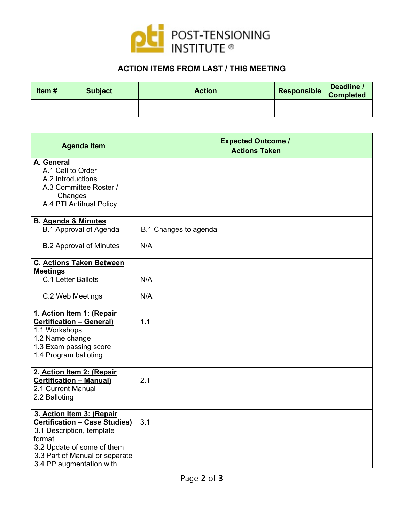

## **ACTION ITEMS FROM LAST / THIS MEETING**

| Item# | <b>Subject</b> | <b>Action</b> | Responsible | Deadline /<br><b>Completed</b> |
|-------|----------------|---------------|-------------|--------------------------------|
|       |                |               |             |                                |
|       |                |               |             |                                |

| <b>Agenda Item</b>                                                                                                                                                                                   | <b>Expected Outcome /</b><br><b>Actions Taken</b> |
|------------------------------------------------------------------------------------------------------------------------------------------------------------------------------------------------------|---------------------------------------------------|
| A. General<br>A.1 Call to Order<br>A.2 Introductions<br>A.3 Committee Roster /<br>Changes<br>A.4 PTI Antitrust Policy                                                                                |                                                   |
| <b>B. Agenda &amp; Minutes</b><br><b>B.1</b> Approval of Agenda                                                                                                                                      | B.1 Changes to agenda                             |
| <b>B.2 Approval of Minutes</b>                                                                                                                                                                       | N/A                                               |
| <b>C. Actions Taken Between</b><br><b>Meetings</b><br>C.1 Letter Ballots                                                                                                                             | N/A                                               |
| C.2 Web Meetings                                                                                                                                                                                     | N/A                                               |
| 1. Action Item 1: (Repair<br><b>Certification - General)</b><br>1.1 Workshops<br>1.2 Name change<br>1.3 Exam passing score<br>1.4 Program balloting                                                  | 1.1                                               |
| 2. Action Item 2: (Repair<br><b>Certification - Manual)</b><br>2.1 Current Manual<br>2.2 Balloting                                                                                                   | 2.1                                               |
| 3. Action Item 3: (Repair<br><b>Certification - Case Studies)</b><br>3.1 Description, template<br>format<br>3.2 Update of some of them<br>3.3 Part of Manual or separate<br>3.4 PP augmentation with | 3.1                                               |